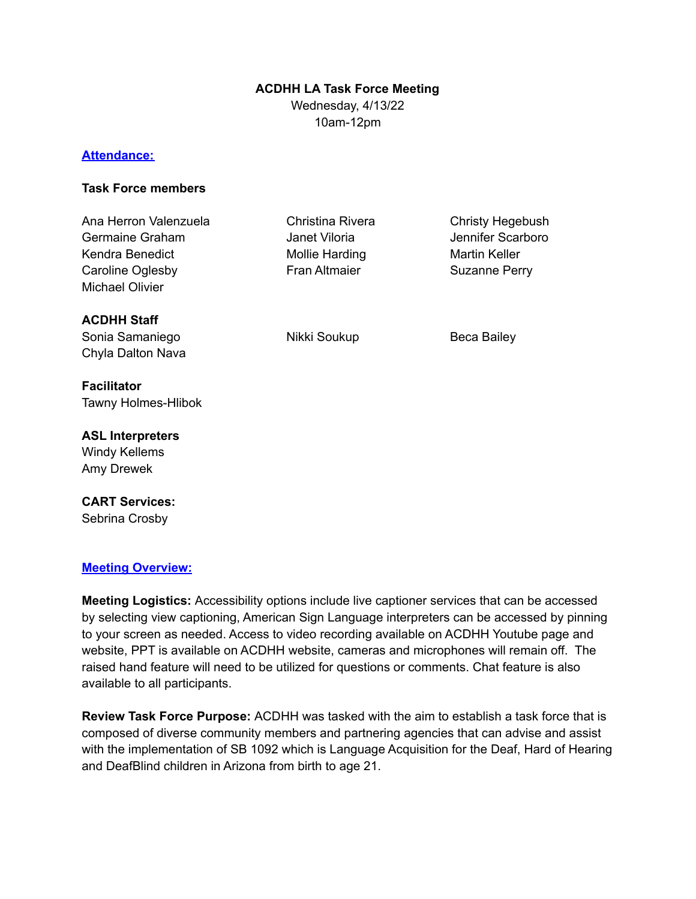# **ACDHH LA Task Force Meeting**

Wednesday, 4/13/22 10am-12pm

### **Attendance:**

### **Task Force members**

| Ana Herron Valenzuela<br>Germaine Graham<br>Kendra Benedict<br>Caroline Oglesby<br><b>Michael Olivier</b> | Christina Rivera<br>Janet Viloria<br>Mollie Harding<br><b>Fran Altmaier</b> | Christy Hegebush<br>Jennifer Scarboro<br>Martin Keller<br>Suzanne Perry |
|-----------------------------------------------------------------------------------------------------------|-----------------------------------------------------------------------------|-------------------------------------------------------------------------|
| <b>ACDHH Staff</b><br>Sonia Samaniego<br>Chyla Dalton Nava                                                | Nikki Soukup                                                                | Beca Bailey                                                             |
| <b>Facilitator</b><br><b>Tawny Holmes-Hlibok</b>                                                          |                                                                             |                                                                         |
| <b>ASL Interpreters</b><br><b>Windy Kellems</b>                                                           |                                                                             |                                                                         |

**CART Services:** Sebrina Crosby

Amy Drewek

### **Meeting Overview:**

**Meeting Logistics:** Accessibility options include live captioner services that can be accessed by selecting view captioning, American Sign Language interpreters can be accessed by pinning to your screen as needed. Access to video recording available on ACDHH Youtube page and website, PPT is available on ACDHH website, cameras and microphones will remain off. The raised hand feature will need to be utilized for questions or comments. Chat feature is also available to all participants.

**Review Task Force Purpose:** ACDHH was tasked with the aim to establish a task force that is composed of diverse community members and partnering agencies that can advise and assist with the implementation of SB 1092 which is Language Acquisition for the Deaf, Hard of Hearing and DeafBlind children in Arizona from birth to age 21.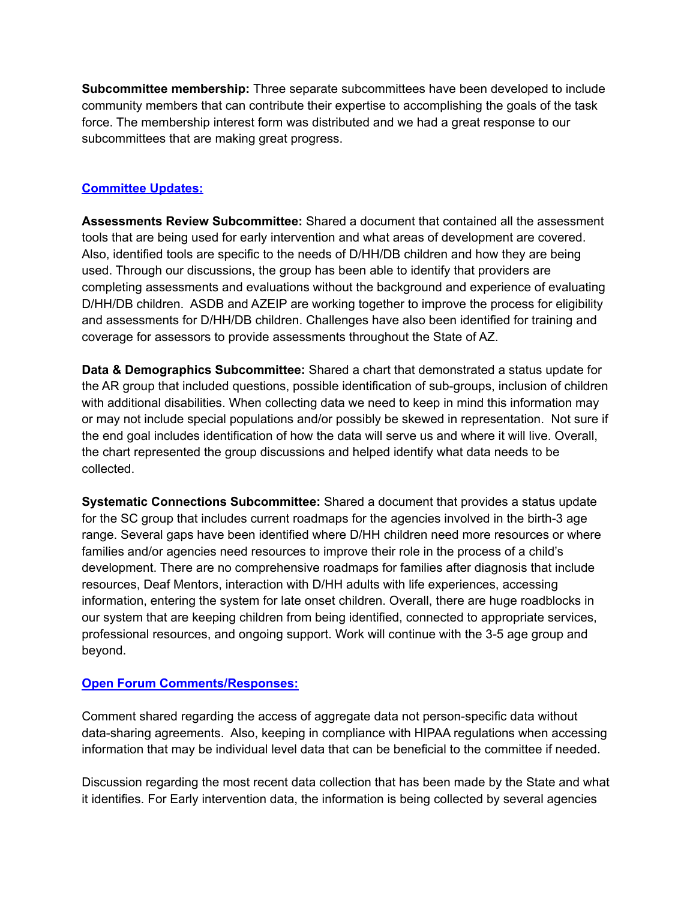**Subcommittee membership:** Three separate subcommittees have been developed to include community members that can contribute their expertise to accomplishing the goals of the task force. The membership interest form was distributed and we had a great response to our subcommittees that are making great progress.

### **Committee Updates:**

**Assessments Review Subcommittee:** Shared a document that contained all the assessment tools that are being used for early intervention and what areas of development are covered. Also, identified tools are specific to the needs of D/HH/DB children and how they are being used. Through our discussions, the group has been able to identify that providers are completing assessments and evaluations without the background and experience of evaluating D/HH/DB children. ASDB and AZEIP are working together to improve the process for eligibility and assessments for D/HH/DB children. Challenges have also been identified for training and coverage for assessors to provide assessments throughout the State of AZ.

**Data & Demographics Subcommittee:** Shared a chart that demonstrated a status update for the AR group that included questions, possible identification of sub-groups, inclusion of children with additional disabilities. When collecting data we need to keep in mind this information may or may not include special populations and/or possibly be skewed in representation. Not sure if the end goal includes identification of how the data will serve us and where it will live. Overall, the chart represented the group discussions and helped identify what data needs to be collected.

**Systematic Connections Subcommittee:** Shared a document that provides a status update for the SC group that includes current roadmaps for the agencies involved in the birth-3 age range. Several gaps have been identified where D/HH children need more resources or where families and/or agencies need resources to improve their role in the process of a child's development. There are no comprehensive roadmaps for families after diagnosis that include resources, Deaf Mentors, interaction with D/HH adults with life experiences, accessing information, entering the system for late onset children. Overall, there are huge roadblocks in our system that are keeping children from being identified, connected to appropriate services, professional resources, and ongoing support. Work will continue with the 3-5 age group and beyond.

# **Open Forum Comments/Responses:**

Comment shared regarding the access of aggregate data not person-specific data without data-sharing agreements. Also, keeping in compliance with HIPAA regulations when accessing information that may be individual level data that can be beneficial to the committee if needed.

Discussion regarding the most recent data collection that has been made by the State and what it identifies. For Early intervention data, the information is being collected by several agencies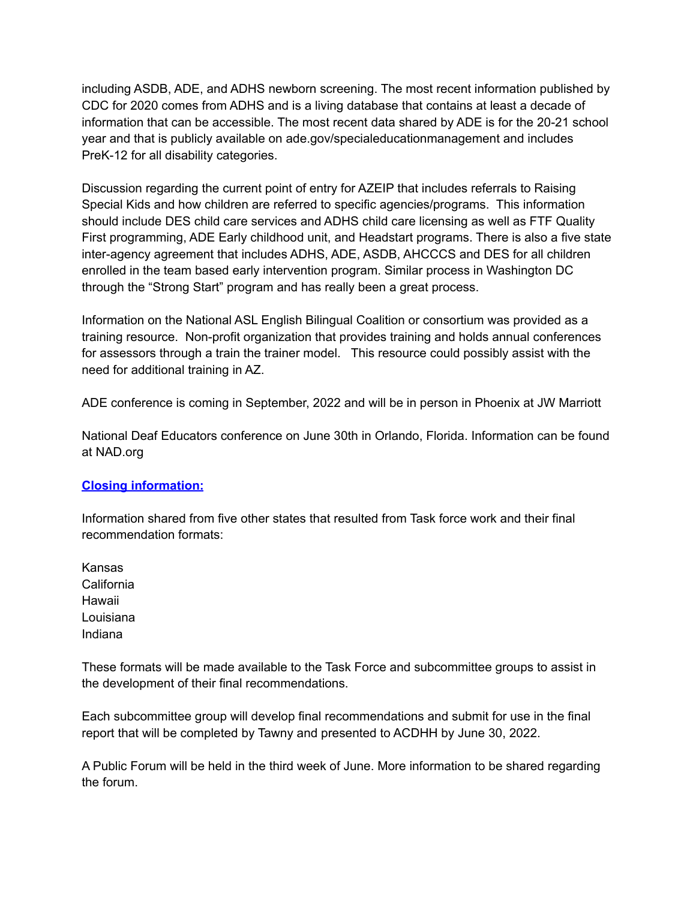including ASDB, ADE, and ADHS newborn screening. The most recent information published by CDC for 2020 comes from ADHS and is a living database that contains at least a decade of information that can be accessible. The most recent data shared by ADE is for the 20-21 school year and that is publicly available on ade.gov/specialeducationmanagement and includes PreK-12 for all disability categories.

Discussion regarding the current point of entry for AZEIP that includes referrals to Raising Special Kids and how children are referred to specific agencies/programs. This information should include DES child care services and ADHS child care licensing as well as FTF Quality First programming, ADE Early childhood unit, and Headstart programs. There is also a five state inter-agency agreement that includes ADHS, ADE, ASDB, AHCCCS and DES for all children enrolled in the team based early intervention program. Similar process in Washington DC through the "Strong Start" program and has really been a great process.

Information on the National ASL English Bilingual Coalition or consortium was provided as a training resource. Non-profit organization that provides training and holds annual conferences for assessors through a train the trainer model. This resource could possibly assist with the need for additional training in AZ.

ADE conference is coming in September, 2022 and will be in person in Phoenix at JW Marriott

National Deaf Educators conference on June 30th in Orlando, Florida. Information can be found at NAD.org

# **Closing information:**

Information shared from five other states that resulted from Task force work and their final recommendation formats:

Kansas California Hawaii Louisiana Indiana

These formats will be made available to the Task Force and subcommittee groups to assist in the development of their final recommendations.

Each subcommittee group will develop final recommendations and submit for use in the final report that will be completed by Tawny and presented to ACDHH by June 30, 2022.

A Public Forum will be held in the third week of June. More information to be shared regarding the forum.